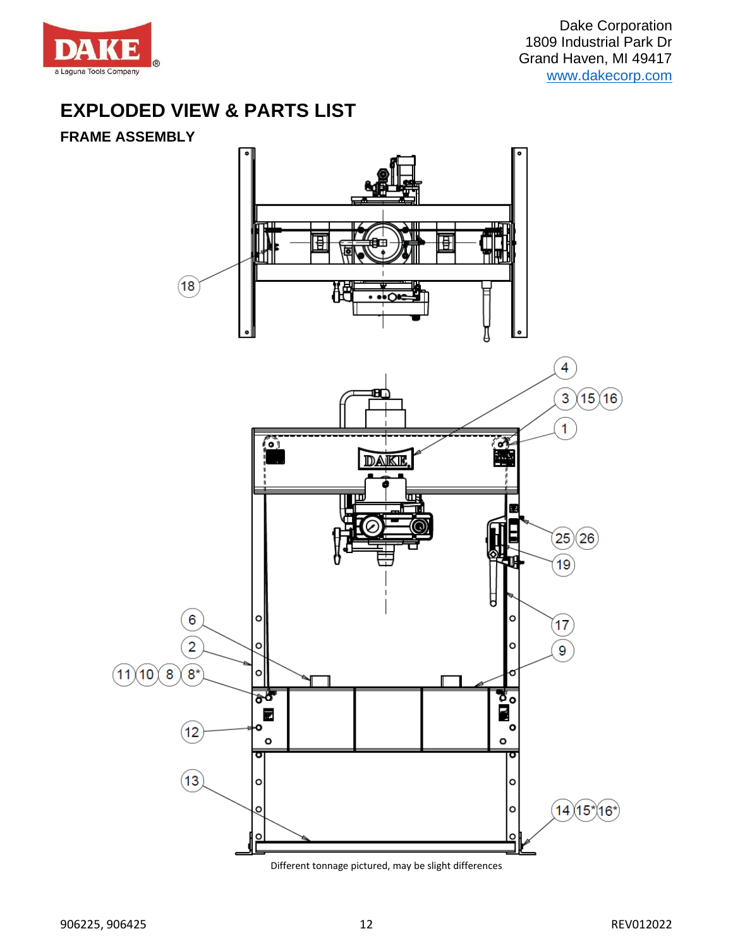

Dake Corporation 1809 Industrial Park Dr Grand Haven, MI 49417 [www.dakecorp.com](http://www.dakecorp.com/)

# **EXPLODED VIEW & PARTS LIST**

### **FRAME ASSEMBLY**



Different tonnage pictured, may be slight differences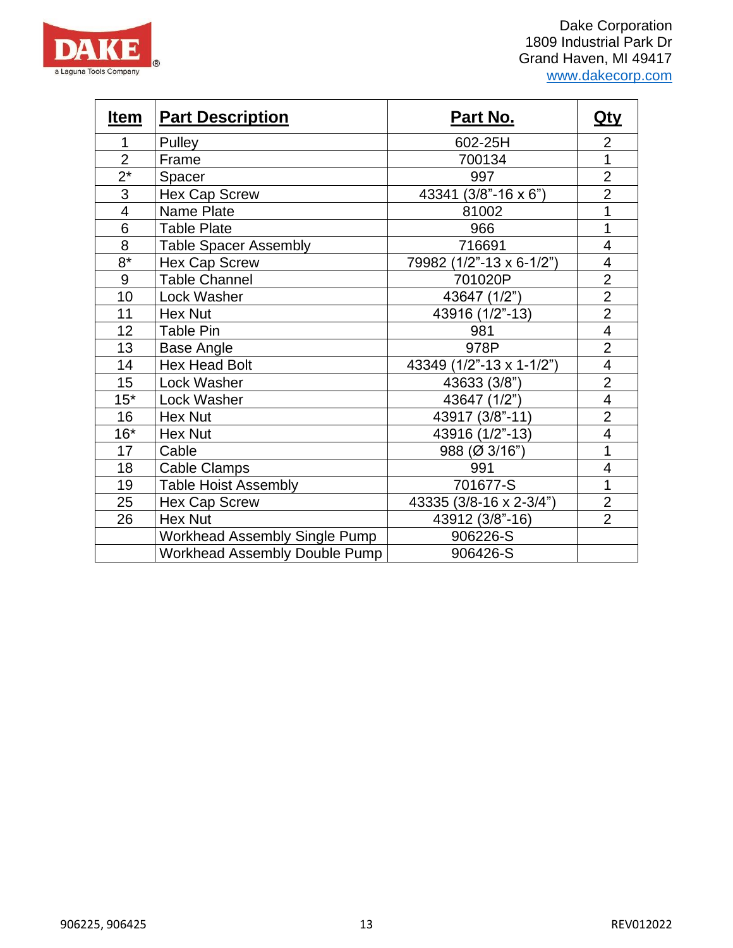

Dake Corporation 1809 Industrial Park Dr Grand Haven, MI 49417 [www.dakecorp.com](http://www.dakecorp.com/)

| <u>Item</u>    | <b>Part Description</b>              | <u>Part No.</u>          | <u>Qty</u>               |
|----------------|--------------------------------------|--------------------------|--------------------------|
| 1              | Pulley                               | 602-25H                  | $\overline{2}$           |
| $\overline{2}$ | Frame                                | 700134                   | 1                        |
| $2^*$          | Spacer                               | 997                      | $\overline{2}$           |
| 3              | <b>Hex Cap Screw</b>                 | 43341 (3/8"-16 x 6")     | $\overline{2}$           |
| 4              | <b>Name Plate</b>                    | 81002                    | 1                        |
| 6              | <b>Table Plate</b>                   | 966                      | 1                        |
| $\overline{8}$ | <b>Table Spacer Assembly</b>         | 716691                   | $\overline{\mathcal{A}}$ |
| $8*$           | <b>Hex Cap Screw</b>                 | 79982 (1/2"-13 x 6-1/2") | 4                        |
| 9              | <b>Table Channel</b>                 | 701020P                  | $\overline{2}$           |
| 10             | Lock Washer                          | 43647 (1/2")             | $\overline{2}$           |
| 11             | Hex Nut                              | 43916 (1/2"-13)          | $\overline{2}$           |
| 12             | Table Pin                            | 981                      | $\overline{\mathbf{4}}$  |
| 13             | Base Angle                           | 978P                     | $\overline{2}$           |
| 14             | <b>Hex Head Bolt</b>                 | 43349 (1/2"-13 x 1-1/2") | $\overline{\mathcal{A}}$ |
| 15             | Lock Washer                          | 43633 (3/8")             | $\overline{2}$           |
| $15*$          | Lock Washer                          | 43647 (1/2")             | $\overline{4}$           |
| 16             | Hex Nut                              | 43917 (3/8"-11)          | $\overline{2}$           |
| $16*$          | <b>Hex Nut</b>                       | 43916 (1/2"-13)          | $\overline{\mathcal{A}}$ |
| 17             | Cable                                | 988 (Ø 3/16")            | 1                        |
| 18             | <b>Cable Clamps</b>                  | 991                      | 4                        |
| 19             | <b>Table Hoist Assembly</b>          | 701677-S                 | 1                        |
| 25             | <b>Hex Cap Screw</b>                 | 43335 (3/8-16 x 2-3/4")  | $\overline{2}$           |
| 26             | <b>Hex Nut</b>                       | 43912 (3/8"-16)          | $\overline{2}$           |
|                | <b>Workhead Assembly Single Pump</b> | 906226-S                 |                          |
|                | <b>Workhead Assembly Double Pump</b> | 906426-S                 |                          |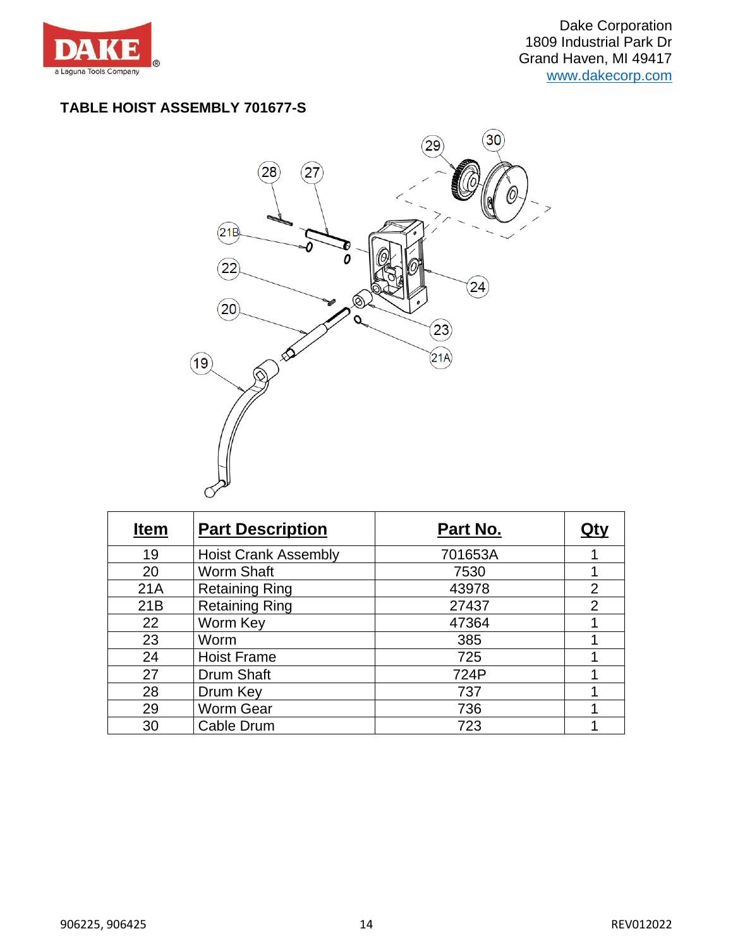

## **TABLE HOIST ASSEMBLY 701677-S**



| <b>Item</b> | <b>Part Description</b>     | Part No. |                |
|-------------|-----------------------------|----------|----------------|
| 19          | <b>Hoist Crank Assembly</b> | 701653A  |                |
| 20          | <b>Worm Shaft</b>           | 7530     |                |
| 21A         | <b>Retaining Ring</b>       | 43978    | $\overline{2}$ |
| 21B         | <b>Retaining Ring</b>       | 27437    | $\overline{2}$ |
| 22          | Worm Key                    | 47364    |                |
| 23          | Worm                        | 385      |                |
| 24          | <b>Hoist Frame</b>          | 725      |                |
| 27          | Drum Shaft                  | 724P     |                |
| 28          | Drum Key                    | 737      |                |
| 29          | Worm Gear                   | 736      |                |
| 30          | Cable Drum                  | 723      |                |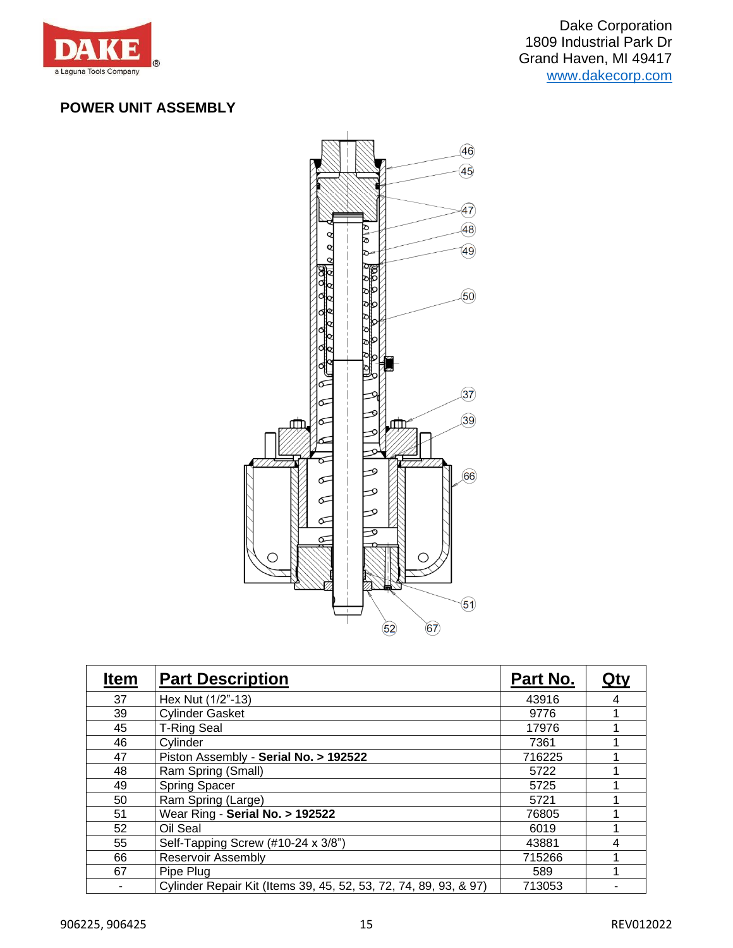

## **POWER UNIT ASSEMBLY**



| <u>Item</u> | <b>Part Description</b>                                          | Part No. | <u>Qty</u> |
|-------------|------------------------------------------------------------------|----------|------------|
| 37          | Hex Nut (1/2"-13)                                                | 43916    | 4          |
| 39          | <b>Cylinder Gasket</b>                                           | 9776     |            |
| 45          | <b>T-Ring Seal</b>                                               | 17976    |            |
| 46          | Cylinder                                                         | 7361     |            |
| 47          | Piston Assembly - Serial No. > 192522                            | 716225   |            |
| 48          | Ram Spring (Small)                                               | 5722     |            |
| 49          | <b>Spring Spacer</b>                                             | 5725     |            |
| 50          | Ram Spring (Large)                                               | 5721     |            |
| 51          | Wear Ring - Serial No. > 192522                                  | 76805    |            |
| 52          | Oil Seal                                                         | 6019     |            |
| 55          | Self-Tapping Screw (#10-24 x 3/8")                               | 43881    | 4          |
| 66          | <b>Reservoir Assembly</b>                                        | 715266   |            |
| 67          | Pipe Plug                                                        | 589      |            |
|             | Cylinder Repair Kit (Items 39, 45, 52, 53, 72, 74, 89, 93, & 97) | 713053   |            |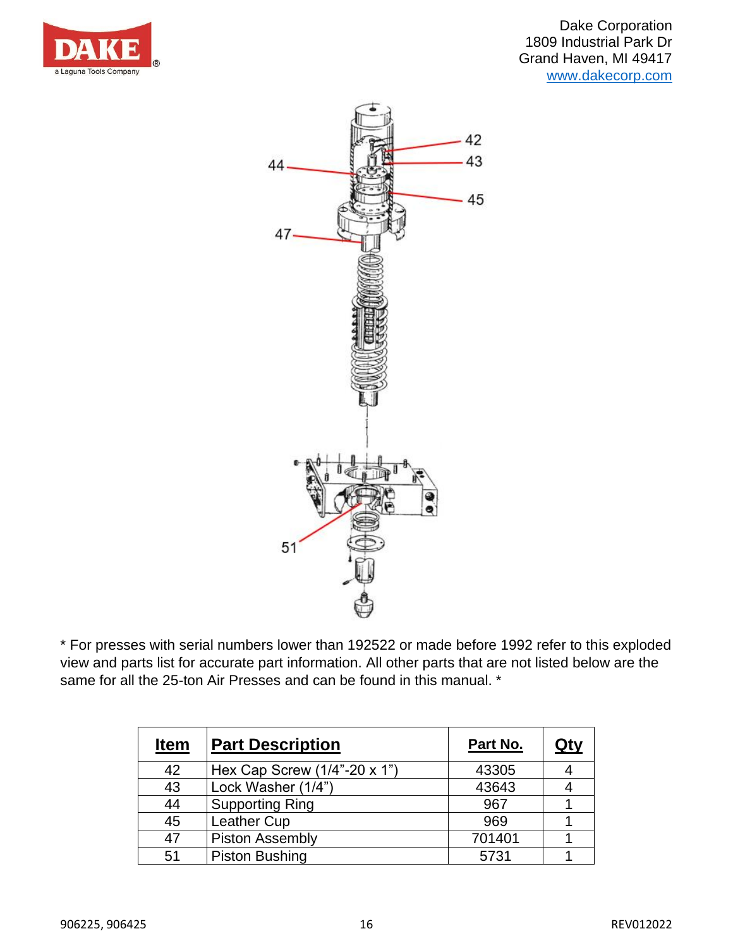



\* For presses with serial numbers lower than 192522 or made before 1992 refer to this exploded view and parts list for accurate part information. All other parts that are not listed below are the same for all the 25-ton Air Presses and can be found in this manual. \*

| <b>Item</b> | <b>Part Description</b>      | Part No. | <u>Qty</u> |
|-------------|------------------------------|----------|------------|
| 42          | Hex Cap Screw (1/4"-20 x 1") | 43305    |            |
| 43          | Lock Washer (1/4")           | 43643    |            |
| 44          | <b>Supporting Ring</b>       | 967      |            |
| 45          | <b>Leather Cup</b>           | 969      |            |
| 47          | <b>Piston Assembly</b>       | 701401   |            |
| 51          | <b>Piston Bushing</b>        | 5731     |            |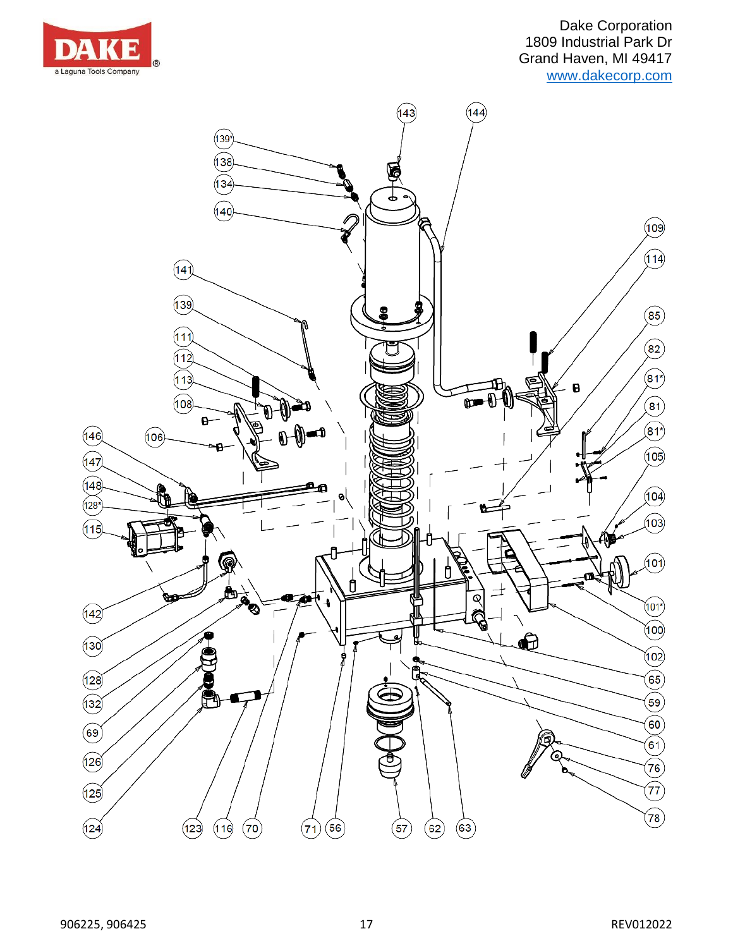

Dake Corporation 1809 Industrial Park Dr Grand Haven, MI 49417 [www.dakecorp.com](http://www.dakecorp.com/)

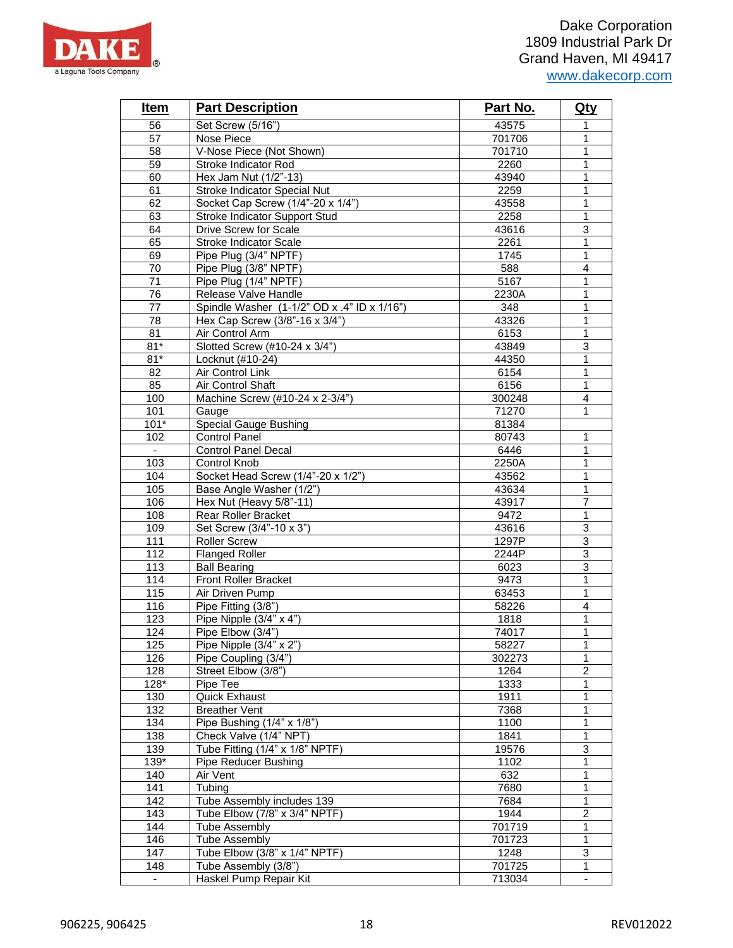

| <b>Item</b>      | <b>Part Description</b>                     | Part No. | <u>Qty</u>                |
|------------------|---------------------------------------------|----------|---------------------------|
| 56               | Set Screw (5/16")                           | 43575    | 1                         |
| 57               | Nose Piece                                  | 701706   | 1                         |
| 58               | V-Nose Piece (Not Shown)                    | 701710   | 1                         |
| 59               | Stroke Indicator Rod                        | 2260     | $\mathbf{1}$              |
| 60               | Hex Jam Nut (1/2"-13)                       | 43940    | 1                         |
| 61               | Stroke Indicator Special Nut                | 2259     | $\mathbf{1}$              |
| 62               | Socket Cap Screw (1/4"-20 x 1/4")           | 43558    | 1                         |
| 63               | Stroke Indicator Support Stud               | 2258     | 1                         |
| 64               | Drive Screw for Scale                       | 43616    | $\ensuremath{\mathsf{3}}$ |
| 65               | Stroke Indicator Scale                      | 2261     | 1                         |
| 69               | Pipe Plug (3/4" NPTF)                       | 1745     | 1                         |
| 70               | Pipe Plug (3/8" NPTF)                       | 588      | $\overline{\mathbf{4}}$   |
| 71               | Pipe Plug (1/4" NPTF)                       | 5167     | 1                         |
| 76               | Release Valve Handle                        | 2230A    | 1                         |
| 77               | Spindle Washer (1-1/2" OD x .4" ID x 1/16") | 348      | 1                         |
| 78               | Hex Cap Screw (3/8"-16 x 3/4")              | 43326    | 1                         |
| 81               | Air Control Arm                             | 6153     | $\overline{1}$            |
| $81*$            | Slotted Screw (#10-24 x 3/4")               | 43849    | 3                         |
| $81*$            | Locknut (#10-24)                            | 44350    | 1                         |
| 82               | Air Control Link                            | 6154     | $\mathbf{1}$              |
| 85               | Air Control Shaft                           | 6156     | 1                         |
| 100              | Machine Screw (#10-24 x 2-3/4")             | 300248   | $\overline{4}$            |
| 101              | Gauge                                       | 71270    | 1                         |
| $101*$           | <b>Special Gauge Bushing</b>                | 81384    |                           |
| 102              | <b>Control Panel</b>                        | 80743    | 1                         |
| $\sim$           | Control Panel Decal                         | 6446     | 1                         |
| 103              | Control Knob                                | 2250A    | 1                         |
| 104              | Socket Head Screw (1/4"-20 x 1/2")          | 43562    | $\mathbf{1}$              |
| 105              | Base Angle Washer (1/2")                    | 43634    | 1                         |
| 106              | Hex Nut (Heavy 5/8"-11)                     | 43917    | $\overline{7}$            |
| 108              | Rear Roller Bracket                         | 9472     | 1                         |
| 109              | Set Screw (3/4"-10 x 3")                    | 43616    | $\overline{3}$            |
| 111              | <b>Roller Screw</b>                         | 1297P    | 3                         |
| 112              | <b>Flanged Roller</b>                       | 2244P    | $\overline{3}$            |
| 113              | <b>Ball Bearing</b>                         | 6023     | 3                         |
| 114              | <b>Front Roller Bracket</b>                 | 9473     | 1                         |
| 115              | Air Driven Pump                             | 63453    | $\mathbf{1}$              |
| 116              | Pipe Fitting (3/8")                         | 58226    | $\overline{4}$            |
| 123              | Pipe Nipple (3/4" x 4")                     | 1818     | $\mathbf{1}$              |
| 124              | Pipe Elbow (3/4")                           | 74017    | $\mathbf{1}$              |
| 125              | Pipe Nipple (3/4" x 2")                     | 58227    | 1                         |
| 126              | Pipe Coupling (3/4")                        | 302273   | 1                         |
| 128              | Street Elbow (3/8")                         | 1264     | 2                         |
| $128*$           | Pipe Tee                                    | 1333     | 1                         |
| 130              | Quick Exhaust                               | 1911     | $\mathbf{1}$              |
| 132              | <b>Breather Vent</b>                        | 7368     | 1                         |
| 134              | Pipe Bushing (1/4" x 1/8")                  | 1100     | 1                         |
| 138              | Check Valve (1/4" NPT)                      | 1841     | 1                         |
| 139              | Tube Fitting (1/4" x 1/8" NPTF)             | 19576    | 3                         |
| 139*             | <b>Pipe Reducer Bushing</b>                 | 1102     | 1                         |
| 140              | Air Vent                                    | 632      | 1                         |
| 141              | Tubing                                      | 7680     | 1                         |
| $\overline{142}$ | Tube Assembly includes 139                  | 7684     | 1                         |
| 143              | Tube Elbow $(7/8" \times 3/4"$ NPTF)        | 1944     | $\overline{c}$            |
| 144              | Tube Assembly                               | 701719   | 1                         |
| 146              | <b>Tube Assembly</b>                        | 701723   | $\mathbf{1}$              |
| 147              | Tube Elbow (3/8" x 1/4" NPTF)               | 1248     | 3                         |
| 148              | Tube Assembly (3/8")                        | 701725   | 1                         |
|                  | Haskel Pump Repair Kit                      | 713034   | $\blacksquare$            |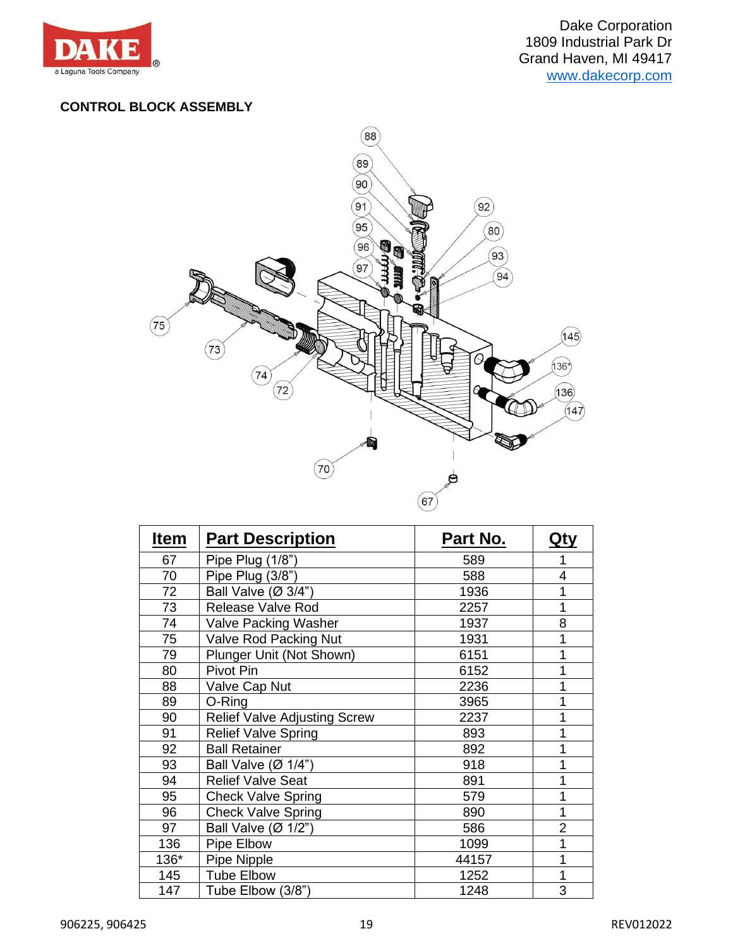

#### **CONTROL BLOCK ASSEMBLY**



| <b>Item</b> | <b>Part Description</b>             | <u>Part No.</u> | <u>Qty</u> |
|-------------|-------------------------------------|-----------------|------------|
| 67          | Pipe Plug (1/8")                    | 589             |            |
| 70          | Pipe Plug (3/8")                    | 588             | 4          |
| 72          | Ball Valve (Ø 3/4")                 | 1936            | 1          |
| 73          | Release Valve Rod                   | 2257            | 1          |
| 74          | <b>Valve Packing Washer</b>         | 1937            | 8          |
| 75          | Valve Rod Packing Nut               | 1931            | 1          |
| 79          | Plunger Unit (Not Shown)            | 6151            | 1          |
| 80          | Pivot Pin                           | 6152            | 1          |
| 88          | Valve Cap Nut                       | 2236            | 1          |
| 89          | O-Ring                              | 3965            |            |
| 90          | <b>Relief Valve Adjusting Screw</b> | 2237            | 1          |
| 91          | <b>Relief Valve Spring</b>          | 893             | 1          |
| 92          | <b>Ball Retainer</b>                | 892             | 1          |
| 93          | Ball Valve $(\emptyset$ 1/4")       | 918             | 1          |
| 94          | <b>Relief Valve Seat</b>            | 891             | 1          |
| 95          | <b>Check Valve Spring</b>           | 579             |            |
| 96          | <b>Check Valve Spring</b>           | 890             | 1          |
| 97          | Ball Valve (Ø 1/2")                 | 586             | 2          |
| 136         | Pipe Elbow                          | 1099            | 1          |
| 136*        | Pipe Nipple                         | 44157           | 1          |
| 145         | <b>Tube Elbow</b>                   | 1252            | 1          |
| 147         | Tube Elbow (3/8")                   | 1248            | 3          |